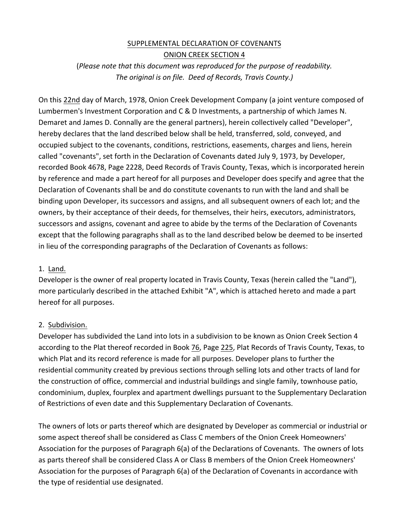# SUPPLEMENTAL DECLARATION OF COVENANTS ONION CREEK SECTION 4

(Please note that this document was reproduced for the purpose of readability. The original is on file. Deed of Records, Travis County.)

On this 22nd day of March, 1978, Onion Creek Development Company (a joint venture composed of Lumbermen's Investment Corporation and C & D Investments, a partnership of which James N. Demaret and James D. Connally are the general partners), herein collectively called "Developer", hereby declares that the land described below shall be held, transferred, sold, conveyed, and occupied subject to the covenants, conditions, restrictions, easements, charges and liens, herein called "covenants", set forth in the Declaration of Covenants dated July 9, 1973, by Developer, recorded Book 4678, Page 2228, Deed Records of Travis County, Texas, which is incorporated herein by reference and made a part hereof for all purposes and Developer does specify and agree that the Declaration of Covenants shall be and do constitute covenants to run with the land and shall be binding upon Developer, its successors and assigns, and all subsequent owners of each lot; and the owners, by their acceptance of their deeds, for themselves, their heirs, executors, administrators, successors and assigns, covenant and agree to abide by the terms of the Declaration of Covenants except that the following paragraphs shall as to the land described below be deemed to be inserted in lieu of the corresponding paragraphs of the Declaration of Covenants as follows:

### 1. Land.

Developer is the owner of real property located in Travis County, Texas (herein called the "Land"), more particularly described in the attached Exhibit "A", which is attached hereto and made a part hereof for all purposes.

### 2. Subdivision.

Developer has subdivided the Land into lots in a subdivision to be known as Onion Creek Section 4 according to the Plat thereof recorded in Book 76, Page 225, Plat Records of Travis County, Texas, to which Plat and its record reference is made for all purposes. Developer plans to further the residential community created by previous sections through selling lots and other tracts of land for the construction of office, commercial and industrial buildings and single family, townhouse patio, condominium, duplex, fourplex and apartment dwellings pursuant to the Supplementary Declaration of Restrictions of even date and this Supplementary Declaration of Covenants.

The owners of lots or parts thereof which are designated by Developer as commercial or industrial or some aspect thereof shall be considered as Class C members of the Onion Creek Homeowners' Association for the purposes of Paragraph 6(a) of the Declarations of Covenants. The owners of lots as parts thereof shall be considered Class A or Class B members of the Onion Creek Homeowners' Association for the purposes of Paragraph 6(a) of the Declaration of Covenants in accordance with the type of residential use designated.